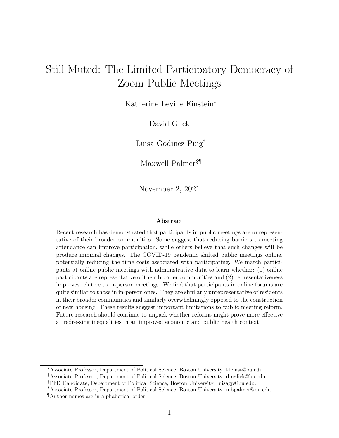# Still Muted: The Limited Participatory Democracy of Zoom Public Meetings

Katherine Levine Einstein<sup>∗</sup>

David Glick†

Luisa Godinez Puig‡

Maxwell Palmer§¶

November 2, 2021

#### Abstract

Recent research has demonstrated that participants in public meetings are unrepresentative of their broader communities. Some suggest that reducing barriers to meeting attendance can improve participation, while others believe that such changes will be produce minimal changes. The COVID-19 pandemic shifted public meetings online, potentially reducing the time costs associated with participating. We match participants at online public meetings with administrative data to learn whether: (1) online participants are representative of their broader communities and (2) representativeness improves relative to in-person meetings. We find that participants in online forums are quite similar to those in in-person ones. They are similarly unrepresentative of residents in their broader communities and similarly overwhelmingly opposed to the construction of new housing. These results suggest important limitations to public meeting reform. Future research should continue to unpack whether reforms might prove more effective at redressing inequalities in an improved economic and public health context.

<sup>∗</sup>Associate Professor, Department of Political Science, Boston University. kleinst@bu.edu. †Associate Professor, Department of Political Science, Boston University. dmglick@bu.edu.

‡PhD Candidate, Department of Political Science, Boston University. luisagp@bu.edu.

<sup>§</sup>Associate Professor, Department of Political Science, Boston University. mbpalmer@bu.edu.

<sup>¶</sup>Author names are in alphabetical order.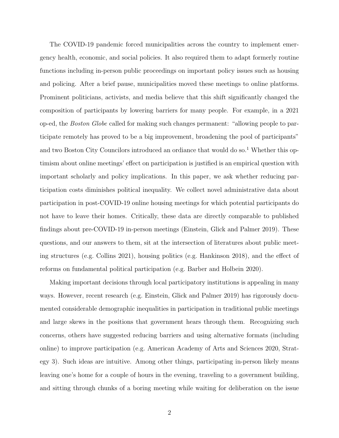The COVID-19 pandemic forced municipalities across the country to implement emergency health, economic, and social policies. It also required them to adapt formerly routine functions including in-person public proceedings on important policy issues such as housing and policing. After a brief pause, municipalities moved these meetings to online platforms. Prominent politicians, activists, and media believe that this shift significantly changed the composition of participants by lowering barriers for many people. For example, in a 2021 op-ed, the Boston Globe called for making such changes permanent: "allowing people to participate remotely has proved to be a big improvement, broadening the pool of participants" and two Boston City Councilors introduced an ordiance that would do so.<sup>[1](#page-10-0)</sup> Whether this optimism about online meetings' effect on participation is justified is an empirical question with important scholarly and policy implications. In this paper, we ask whether reducing participation costs diminishes political inequality. We collect novel administrative data about participation in post-COVID-19 online housing meetings for which potential participants do not have to leave their homes. Critically, these data are directly comparable to published findings about pre-COVID-19 in-person meetings [\(Einstein, Glick and Palmer 2019\)](#page-11-0). These questions, and our answers to them, sit at the intersection of literatures about public meeting structures (e.g. [Collins 2021\)](#page-11-1), housing politics (e.g. [Hankinson 2018\)](#page-11-2), and the effect of reforms on fundamental political participation (e.g. [Barber and Holbein 2020\)](#page-10-1).

Making important decisions through local participatory institutions is appealing in many ways. However, recent research (e.g. [Einstein, Glick and Palmer 2019\)](#page-11-0) has rigorously documented considerable demographic inequalities in participation in traditional public meetings and large skews in the positions that government hears through them. Recognizing such concerns, others have suggested reducing barriers and using alternative formats (including online) to improve participation (e.g. [American Academy of Arts and Sciences 2020,](#page-10-2) Strategy 3). Such ideas are intuitive. Among other things, participating in-person likely means leaving one's home for a couple of hours in the evening, traveling to a government building, and sitting through chunks of a boring meeting while waiting for deliberation on the issue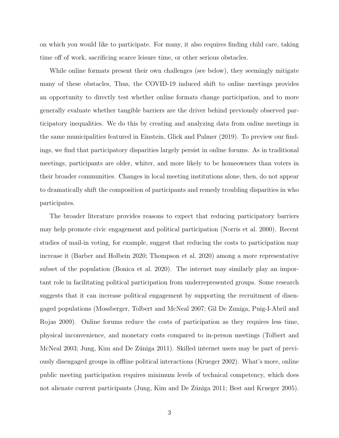on which you would like to participate. For many, it also requires finding child care, taking time off of work, sacrificing scarce leisure time, or other serious obstacles.

While online formats present their own challenges (see below), they seemingly mitigate many of these obstacles, Thus, the COVID-19 induced shift to online meetings provides an opportunity to directly test whether online formats change participation, and to more generally evaluate whether tangible barriers are the driver behind previously observed participatory inequalities. We do this by creating and analyzing data from online meetings in the same municipalities featured in [Einstein, Glick and Palmer](#page-11-0) [\(2019\)](#page-11-0). To preview our findings, we find that participatory disparities largely persist in online forums. As in traditional meetings, participants are older, whiter, and more likely to be homeowners than voters in their broader communities. Changes in local meeting institutions alone, then, do not appear to dramatically shift the composition of participants and remedy troubling disparities in who participates.

The broader literature provides reasons to expect that reducing participatory barriers may help promote civic engagement and political participation [\(Norris et al. 2000\)](#page-12-0). Recent studies of mail-in voting, for example, suggest that reducing the costs to participation may increase it [\(Barber and Holbein 2020;](#page-10-1) [Thompson et al. 2020\)](#page-12-1) among a more representative subset of the population [\(Bonica et al. 2020\)](#page-10-3). The internet may similarly play an important role in facilitating political participation from underrepresented groups. Some research suggests that it can increase political engagement by supporting the recruitment of disengaged populations [\(Mossberger, Tolbert and McNeal 2007;](#page-12-2) [Gil De Zuniga, Puig-I-Abril and](#page-11-3) [Rojas 2009\)](#page-11-3). Online forums reduce the costs of participation as they requires less time, physical inconvenience, and monetary costs compared to in-person meetings [\(Tolbert and](#page-12-3) [McNeal 2003;](#page-12-3) Jung, Kim and De Zúniga 2011). Skilled internet users may be part of previously disengaged groups in offline political interactions [\(Krueger 2002\)](#page-12-4). What's more, online public meeting participation requires minimum levels of technical competency, which does not alienate current participants (Jung, Kim and De Zúniga 2011; [Best and Krueger 2005\)](#page-10-4).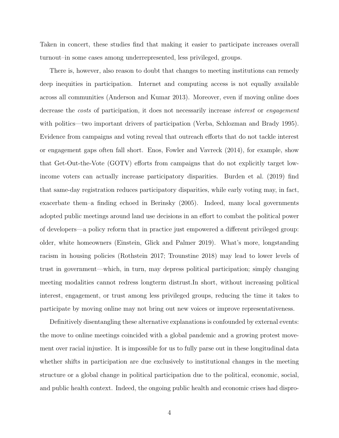Taken in concert, these studies find that making it easier to participate increases overall turnout–in some cases among underrepresented, less privileged, groups.

There is, however, also reason to doubt that changes to meeting institutions can remedy deep inequities in participation. Internet and computing access is not equally available across all communities [\(Anderson and Kumar 2013\)](#page-10-5). Moreover, even if moving online does decrease the *costs* of participation, it does not necessarily increase *interest* or *engagement* with politics—two important drivers of participation [\(Verba, Schlozman and Brady 1995\)](#page-12-5). Evidence from campaigns and voting reveal that outreach efforts that do not tackle interest or engagement gaps often fall short. [Enos, Fowler and Vavreck](#page-11-5) [\(2014\)](#page-11-5), for example, show that Get-Out-the-Vote (GOTV) efforts from campaigns that do not explicitly target lowincome voters can actually increase participatory disparities. [Burden et al.](#page-11-6) [\(2019\)](#page-11-6) find that same-day registration reduces participatory disparities, while early voting may, in fact, exacerbate them–a finding echoed in [Berinsky](#page-10-6) [\(2005\)](#page-10-6). Indeed, many local governments adopted public meetings around land use decisions in an effort to combat the political power of developers—a policy reform that in practice just empowered a different privileged group: older, white homeowners [\(Einstein, Glick and Palmer 2019\)](#page-11-0). What's more, longstanding racism in housing policies [\(Rothstein 2017;](#page-12-6) [Trounstine 2018\)](#page-12-7) may lead to lower levels of trust in government—which, in turn, may depress political participation; simply changing meeting modalities cannot redress longterm distrust.In short, without increasing political interest, engagement, or trust among less privileged groups, reducing the time it takes to participate by moving online may not bring out new voices or improve representativeness.

Definitively disentangling these alternative explanations is confounded by external events: the move to online meetings coincided with a global pandemic and a growing protest movement over racial injustice. It is impossible for us to fully parse out in these longitudinal data whether shifts in participation are due exclusively to institutional changes in the meeting structure or a global change in political participation due to the political, economic, social, and public health context. Indeed, the ongoing public health and economic crises had dispro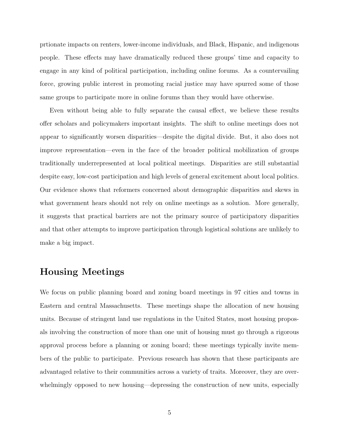prtionate impacts on renters, lower-income individuals, and Black, Hispanic, and indigenous people. These effects may have dramatically reduced these groups' time and capacity to engage in any kind of political participation, including online forums. As a countervailing force, growing public interest in promoting racial justice may have spurred some of those same groups to participate more in online forums than they would have otherwise.

Even without being able to fully separate the causal effect, we believe these results offer scholars and policymakers important insights. The shift to online meetings does not appear to significantly worsen disparities—despite the digital divide. But, it also does not improve representation—even in the face of the broader political mobilization of groups traditionally underrepresented at local political meetings. Disparities are still substantial despite easy, low-cost participation and high levels of general excitement about local politics. Our evidence shows that reformers concerned about demographic disparities and skews in what government hears should not rely on online meetings as a solution. More generally, it suggests that practical barriers are not the primary source of participatory disparities and that other attempts to improve participation through logistical solutions are unlikely to make a big impact.

#### Housing Meetings

We focus on public planning board and zoning board meetings in 97 cities and towns in Eastern and central Massachusetts. These meetings shape the allocation of new housing units. Because of stringent land use regulations in the United States, most housing proposals involving the construction of more than one unit of housing must go through a rigorous approval process before a planning or zoning board; these meetings typically invite members of the public to participate. Previous research has shown that these participants are advantaged relative to their communities across a variety of traits. Moreover, they are overwhelmingly opposed to new housing—depressing the construction of new units, especially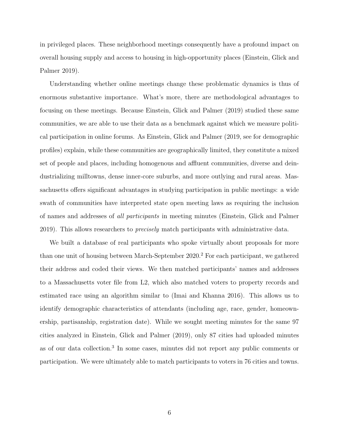in privileged places. These neighborhood meetings consequently have a profound impact on overall housing supply and access to housing in high-opportunity places [\(Einstein, Glick and](#page-11-0) [Palmer 2019\)](#page-11-0).

Understanding whether online meetings change these problematic dynamics is thus of enormous substantive importance. What's more, there are methodological advantages to focusing on these meetings. Because [Einstein, Glick and Palmer](#page-11-0) [\(2019\)](#page-11-0) studied these same communities, we are able to use their data as a benchmark against which we measure political participation in online forums. As [Einstein, Glick and Palmer](#page-11-0) [\(2019,](#page-11-0) see for demographic profiles) explain, while these communities are geographically limited, they constitute a mixed set of people and places, including homogenous and affluent communities, diverse and deindustrializing milltowns, dense inner-core suburbs, and more outlying and rural areas. Massachusetts offers significant advantages in studying participation in public meetings: a wide swath of communities have interpreted state open meeting laws as requiring the inclusion of names and addresses of all participants in meeting minutes [\(Einstein, Glick and Palmer](#page-11-0) [2019\)](#page-11-0). This allows researchers to *precisely* match participants with administrative data.

We built a database of real participants who spoke virtually about proposals for more than one unit of housing between March-September  $2020$  $2020$ .<sup>2</sup> For each participant, we gathered their address and coded their views. We then matched participants' names and addresses to a Massachusetts voter file from L2, which also matched voters to property records and estimated race using an algorithm similar to [\(Imai and Khanna 2016\)](#page-11-7). This allows us to identify demographic characteristics of attendants (including age, race, gender, homeownership, partisanship, registration date). While we sought meeting minutes for the same 97 cities analyzed in [Einstein, Glick and Palmer](#page-11-0) [\(2019\)](#page-11-0), only 87 cities had uploaded minutes as of our data collection.[3](#page-10-8) In some cases, minutes did not report any public comments or participation. We were ultimately able to match participants to voters in 76 cities and towns.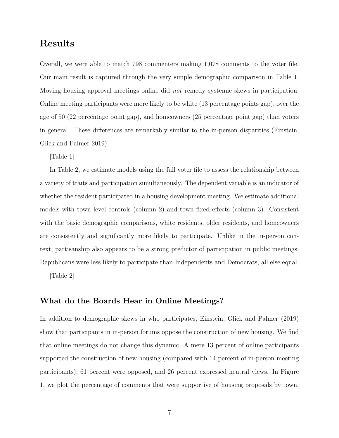### Results

Overall, we were able to match 798 commenters making 1,078 comments to the voter file. Our main result is captured through the very simple demographic comparison in Table 1. Moving housing approval meetings online did not remedy systemic skews in participation. Online meeting participants were more likely to be white (13 percentage points gap), over the age of 50 (22 percentage point gap), and homeowners (25 percentage point gap) than voters in general. These differences are remarkably similar to the in-person disparities [\(Einstein,](#page-11-0) [Glick and Palmer 2019\)](#page-11-0).

[Table 1]

In Table 2, we estimate models using the full voter file to assess the relationship between a variety of traits and participation simultaneously. The dependent variable is an indicator of whether the resident participated in a housing development meeting. We estimate additional models with town level controls (column 2) and town fixed effects (column 3). Consistent with the basic demographic comparisons, white residents, older residents, and homeowners are consistently and significantly more likely to participate. Unlike in the in-person context, partisanship also appears to be a strong predictor of participation in public meetings. Republicans were less likely to participate than Independents and Democrats, all else equal.

[Table 2]

#### What do the Boards Hear in Online Meetings?

In addition to demographic skews in who participates, [Einstein, Glick and Palmer](#page-11-0) [\(2019\)](#page-11-0) show that participants in in-person forums oppose the construction of new housing. We find that online meetings do not change this dynamic. A mere 13 percent of online participants supported the construction of new housing (compared with 14 percent of in-person meeting participants); 61 percent were opposed, and 26 percent expressed neutral views. In Figure 1, we plot the percentage of comments that were supportive of housing proposals by town.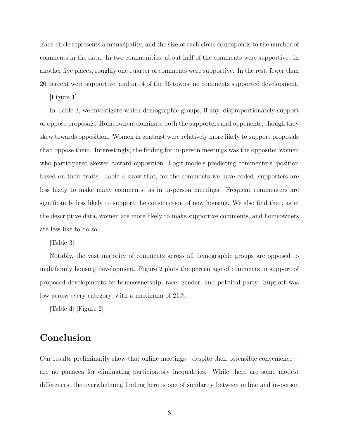Each circle represents a municipality, and the size of each circle corresponds to the number of comments in the data. In two communities, about half of the comments were supportive. In another five places, roughly one quarter of comments were supportive. In the rest, fewer than 20 percent were supportive, and in 14 of the 36 towns, no comments supported development.

[Figure 1]

In Table 3, we investigate which demographic groups, if any, disproportionately support or oppose proposals. Homeowners dominate both the supporters and opponents, though they skew towards opposition. Women in contrast were relatively more likely to support proposals than oppose them. Interestingly, the finding for in-person meetings was the opposite: women who participated skewed toward opposition. Logit models predicting commenters' position based on their traits. Table 4 show that, for the comments we have coded, supporters are less likely to make many comments; as in in-person meetings. Frequent commenters are significantly less likely to support the construction of new housing. We also find that, as in the descriptive data, women are more likely to make supportive comments, and homeowners are less like to do so.

[Table 3]

Notably, the vast majority of comments across all demographic groups are opposed to multifamily housing development. Figure 2 plots the percentage of comments in support of proposed developments by homeownership, race, gender, and political party. Support was low across every category, with a maximum of 21%.

[Table 4] [Figure 2]

#### Conclusion

Our results preliminarily show that online meetings—despite their ostensible convenience are no panacea for eliminating participatory inequalities. While there are some modest differences, the overwhelming finding here is one of similarity between online and in-person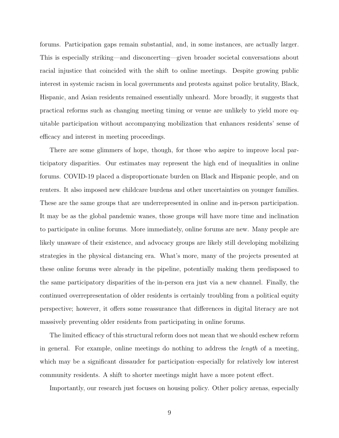forums. Participation gaps remain substantial, and, in some instances, are actually larger. This is especially striking—and disconcerting—given broader societal conversations about racial injustice that coincided with the shift to online meetings. Despite growing public interest in systemic racism in local governments and protests against police brutality, Black, Hispanic, and Asian residents remained essentially unheard. More broadly, it suggests that practical reforms such as changing meeting timing or venue are unlikely to yield more equitable participation without accompanying mobilization that enhances residents' sense of efficacy and interest in meeting proceedings.

There are some glimmers of hope, though, for those who aspire to improve local participatory disparities. Our estimates may represent the high end of inequalities in online forums. COVID-19 placed a disproportionate burden on Black and Hispanic people, and on renters. It also imposed new childcare burdens and other uncertainties on younger families. These are the same groups that are underrepresented in online and in-person participation. It may be as the global pandemic wanes, those groups will have more time and inclination to participate in online forums. More immediately, online forums are new. Many people are likely unaware of their existence, and advocacy groups are likely still developing mobilizing strategies in the physical distancing era. What's more, many of the projects presented at these online forums were already in the pipeline, potentially making them predisposed to the same participatory disparities of the in-person era just via a new channel. Finally, the continued overrepresentation of older residents is certainly troubling from a political equity perspective; however, it offers some reassurance that differences in digital literacy are not massively preventing older residents from participating in online forums.

The limited efficacy of this structural reform does not mean that we should eschew reform in general. For example, online meetings do nothing to address the length of a meeting, which may be a significant dissauder for participation–especially for relatively low interest community residents. A shift to shorter meetings might have a more potent effect.

Importantly, our research just focuses on housing policy. Other policy arenas, especially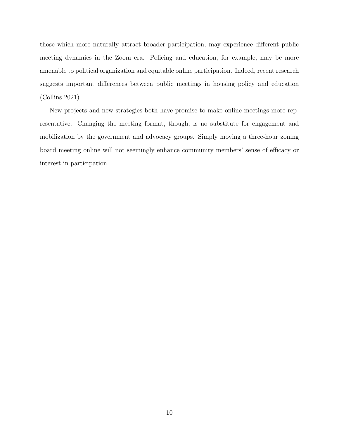those which more naturally attract broader participation, may experience different public meeting dynamics in the Zoom era. Policing and education, for example, may be more amenable to political organization and equitable online participation. Indeed, recent research suggests important differences between public meetings in housing policy and education [\(Collins 2021\)](#page-11-1).

New projects and new strategies both have promise to make online meetings more representative. Changing the meeting format, though, is no substitute for engagement and mobilization by the government and advocacy groups. Simply moving a three-hour zoning board meeting online will not seemingly enhance community members' sense of efficacy or interest in participation.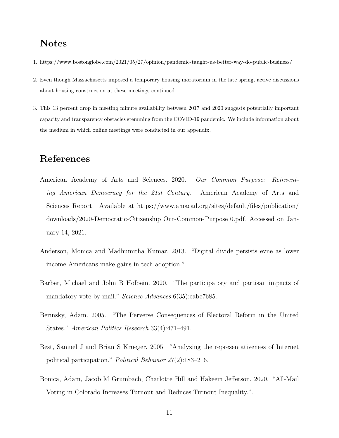### Notes

- <span id="page-10-0"></span>1.<https://www.bostonglobe.com/2021/05/27/opinion/pandemic-taught-us-better-way-do-public-business/>
- <span id="page-10-7"></span>2. Even though Massachusetts imposed a temporary housing moratorium in the late spring, active discussions about housing construction at these meetings continued.
- <span id="page-10-8"></span>3. This 13 percent drop in meeting minute availability between 2017 and 2020 suggests potentially important capacity and transparency obstacles stemming from the COVID-19 pandemic. We include information about the medium in which online meetings were conducted in our appendix.

#### References

- <span id="page-10-2"></span>American Academy of Arts and Sciences. 2020. Our Common Purpose: Reinventing American Democracy for the 21st Century. American Academy of Arts and Sciences Report. Available at [https://www.amacad.org/sites/default/files/publication/](https://www.amacad.org/sites/default/files/publication/downloads/2020-Democratic-Citizenship_Our-Common-Purpose_0.pdf) [downloads/2020-Democratic-Citizenship](https://www.amacad.org/sites/default/files/publication/downloads/2020-Democratic-Citizenship_Our-Common-Purpose_0.pdf) Our-Common-Purpose 0.pdf. Accessed on January 14, 2021.
- <span id="page-10-5"></span>Anderson, Monica and Madhumitha Kumar. 2013. "Digital divide persists evne as lower income Americans make gains in tech adoption.".
- <span id="page-10-1"></span>Barber, Michael and John B Holbein. 2020. "The participatory and partisan impacts of mandatory vote-by-mail." *Science Advances* 6(35):eabc7685.
- <span id="page-10-6"></span>Berinsky, Adam. 2005. "The Perverse Consequences of Electoral Reform in the United States." American Politics Research 33(4):471–491.
- <span id="page-10-4"></span>Best, Samuel J and Brian S Krueger. 2005. "Analyzing the representativeness of Internet political participation." Political Behavior 27(2):183–216.
- <span id="page-10-3"></span>Bonica, Adam, Jacob M Grumbach, Charlotte Hill and Hakeem Jefferson. 2020. "All-Mail Voting in Colorado Increases Turnout and Reduces Turnout Inequality.".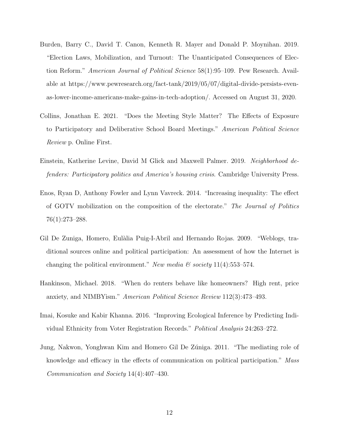- <span id="page-11-6"></span>Burden, Barry C., David T. Canon, Kenneth R. Mayer and Donald P. Moynihan. 2019. "Election Laws, Mobilization, and Turnout: The Unanticipated Consequences of Election Reform." *American Journal of Political Science* 58(1):95–109. Pew Research. Available at [https://www.pewresearch.org/fact-tank/2019/05/07/digital-divide-persists-even](https://www.pewresearch.org/fact-tank/2019/05/07/digital-divide-persists-even-as-lower-income-americans-make-gains-in-tech-adoption/)[as-lower-income-americans-make-gains-in-tech-adoption/.](https://www.pewresearch.org/fact-tank/2019/05/07/digital-divide-persists-even-as-lower-income-americans-make-gains-in-tech-adoption/) Accessed on August 31, 2020.
- <span id="page-11-1"></span>Collins, Jonathan E. 2021. "Does the Meeting Style Matter? The Effects of Exposure to Participatory and Deliberative School Board Meetings." American Political Science Review p. Online First.
- <span id="page-11-0"></span>Einstein, Katherine Levine, David M Glick and Maxwell Palmer. 2019. Neighborhood defenders: Participatory politics and America's housing crisis. Cambridge University Press.
- <span id="page-11-5"></span>Enos, Ryan D, Anthony Fowler and Lynn Vavreck. 2014. "Increasing inequality: The effect of GOTV mobilization on the composition of the electorate." The Journal of Politics 76(1):273–288.
- <span id="page-11-3"></span>Gil De Zuniga, Homero, Eulàlia Puig-I-Abril and Hernando Rojas. 2009. "Weblogs, traditional sources online and political participation: An assessment of how the Internet is changing the political environment." New media  $\mathcal C$  society 11(4):553–574.
- <span id="page-11-2"></span>Hankinson, Michael. 2018. "When do renters behave like homeowners? High rent, price anxiety, and NIMBYism." American Political Science Review 112(3):473–493.
- <span id="page-11-7"></span>Imai, Kosuke and Kabir Khanna. 2016. "Improving Ecological Inference by Predicting Individual Ethnicity from Voter Registration Records." Political Analysis 24:263–272.
- <span id="page-11-4"></span>Jung, Nakwon, Yonghwan Kim and Homero Gil De Zúniga. 2011. "The mediating role of knowledge and efficacy in the effects of communication on political participation." Mass Communication and Society 14(4):407–430.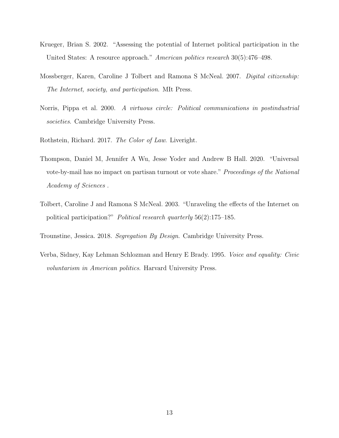- <span id="page-12-4"></span>Krueger, Brian S. 2002. "Assessing the potential of Internet political participation in the United States: A resource approach." American politics research 30(5):476–498.
- <span id="page-12-2"></span>Mossberger, Karen, Caroline J Tolbert and Ramona S McNeal. 2007. Digital citizenship: The Internet, society, and participation. MIt Press.
- <span id="page-12-0"></span>Norris, Pippa et al. 2000. A virtuous circle: Political communications in postindustrial societies. Cambridge University Press.
- <span id="page-12-6"></span>Rothstein, Richard. 2017. The Color of Law. Liveright.
- <span id="page-12-1"></span>Thompson, Daniel M, Jennifer A Wu, Jesse Yoder and Andrew B Hall. 2020. "Universal vote-by-mail has no impact on partisan turnout or vote share." Proceedings of the National Academy of Sciences .
- <span id="page-12-3"></span>Tolbert, Caroline J and Ramona S McNeal. 2003. "Unraveling the effects of the Internet on political participation?" Political research quarterly 56(2):175–185.
- <span id="page-12-7"></span>Trounstine, Jessica. 2018. Segregation By Design. Cambridge University Press.
- <span id="page-12-5"></span>Verba, Sidney, Kay Lehman Schlozman and Henry E Brady. 1995. Voice and equality: Civic voluntarism in American politics. Harvard University Press.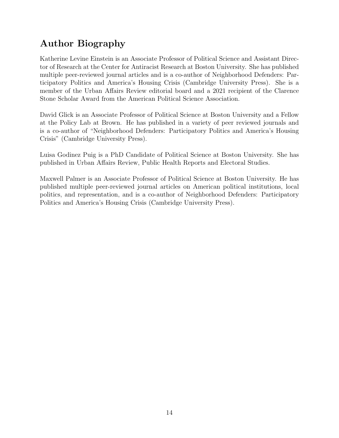## Author Biography

Katherine Levine Einstein is an Associate Professor of Political Science and Assistant Director of Research at the Center for Antiracist Research at Boston University. She has published multiple peer-reviewed journal articles and is a co-author of Neighborhood Defenders: Participatory Politics and America's Housing Crisis (Cambridge University Press). She is a member of the Urban Affairs Review editorial board and a 2021 recipient of the Clarence Stone Scholar Award from the American Political Science Association.

David Glick is an Associate Professor of Political Science at Boston University and a Fellow at the Policy Lab at Brown. He has published in a variety of peer reviewed journals and is a co-author of "Neighborhood Defenders: Participatory Politics and America's Housing Crisis" (Cambridge University Press).

Luisa Godinez Puig is a PhD Candidate of Political Science at Boston University. She has published in Urban Affairs Review, Public Health Reports and Electoral Studies.

Maxwell Palmer is an Associate Professor of Political Science at Boston University. He has published multiple peer-reviewed journal articles on American political institutions, local politics, and representation, and is a co-author of Neighborhood Defenders: Participatory Politics and America's Housing Crisis (Cambridge University Press).